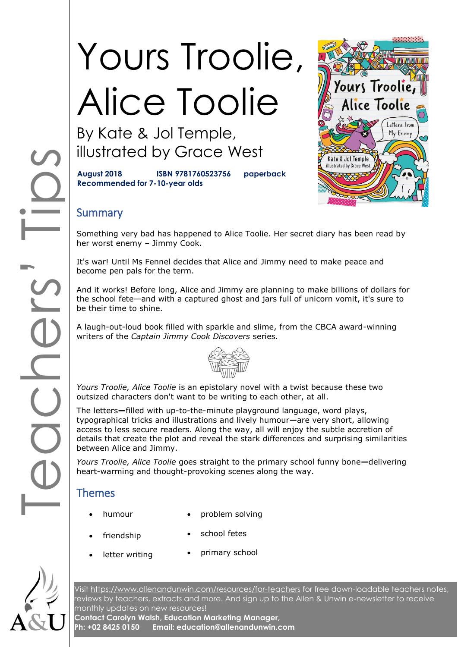# Yours Troolie, Alice Toolie

By Kate & Jol Temple, illustrated by Grace West

**August 2018 ISBN 9781760523756 paperback Recommended for 7-10-year olds**



## **Summary**

Something very bad has happened to Alice Toolie. Her secret diary has been read by her worst enemy – Jimmy Cook.

It's war! Until Ms Fennel decides that Alice and Jimmy need to make peace and become pen pals for the term.

And it works! Before long, Alice and Jimmy are planning to make billions of dollars for the school fete—and with a captured ghost and jars full of unicorn vomit, it's sure to be their time to shine.

A laugh-out-loud book filled with sparkle and slime, from the CBCA award-winning writers of the *Captain Jimmy Cook Discovers* series.



*Yours Troolie, Alice Toolie* is an epistolary novel with a twist because these two outsized characters don't want to be writing to each other, at all.

CODE The letters**—**filled with up-to-the-minute playground language, word plays, typographical tricks and illustrations and lively humour**—**are very short, allowing access to less secure readers. Along the way, all will enjoy the subtle accretion of details that create the plot and reveal the stark differences and surprising similarities between Alice and Jimmy.

*Yours Troolie, Alice Toolie* goes straight to the primary school funny bone**—**delivering heart-warming and thought-provoking scenes along the way.

# Themes

- humour
	- problem solving
- friendship
- school fetes
- letter writing primary school

Visit<https://www.allenandunwin.com/resources/for-teachers> for free down-loadable teachers notes, reviews by teachers, extracts and more. And sign up to the Allen & Unwin e-newsletter to receive monthly updates on new resources!

**Contact Carolyn Walsh, Education Marketing Manager, Ph: +02 8425 0150 Email: education@allenandunwin.com**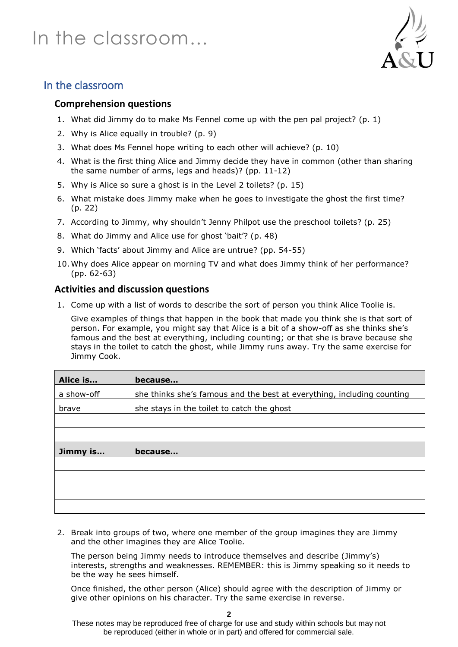

# In the classroom

#### **Comprehension questions**

- 1. What did Jimmy do to make Ms Fennel come up with the pen pal project? (p. 1)
- 2. Why is Alice equally in trouble? (p. 9)
- 3. What does Ms Fennel hope writing to each other will achieve? (p. 10)
- 4. What is the first thing Alice and Jimmy decide they have in common (other than sharing the same number of arms, legs and heads)? (pp. 11-12)
- 5. Why is Alice so sure a ghost is in the Level 2 toilets? (p. 15)
- 6. What mistake does Jimmy make when he goes to investigate the ghost the first time? (p. 22)
- 7. According to Jimmy, why shouldn't Jenny Philpot use the preschool toilets? (p. 25)
- 8. What do Jimmy and Alice use for ghost 'bait'? (p. 48)
- 9. Which 'facts' about Jimmy and Alice are untrue? (pp. 54-55)
- 10. Why does Alice appear on morning TV and what does Jimmy think of her performance? (pp. 62-63)

#### **Activities and discussion questions**

1. Come up with a list of words to describe the sort of person you think Alice Toolie is.

Give examples of things that happen in the book that made you think she is that sort of person. For example, you might say that Alice is a bit of a show-off as she thinks she's famous and the best at everything, including counting; or that she is brave because she stays in the toilet to catch the ghost, while Jimmy runs away. Try the same exercise for Jimmy Cook.

| Alice is   | because                                                                |
|------------|------------------------------------------------------------------------|
| a show-off | she thinks she's famous and the best at everything, including counting |
| brave      | she stays in the toilet to catch the ghost                             |
|            |                                                                        |
|            |                                                                        |
| Jimmy is   | because                                                                |
|            |                                                                        |
|            |                                                                        |
|            |                                                                        |
|            |                                                                        |

2. Break into groups of two, where one member of the group imagines they are Jimmy and the other imagines they are Alice Toolie.

The person being Jimmy needs to introduce themselves and describe (Jimmy's) interests, strengths and weaknesses. REMEMBER: this is Jimmy speaking so it needs to be the way he sees himself.

Once finished, the other person (Alice) should agree with the description of Jimmy or give other opinions on his character. Try the same exercise in reverse.

These notes may be reproduced free of charge for use and study within schools but may not be reproduced (either in whole or in part) and offered for commercial sale.